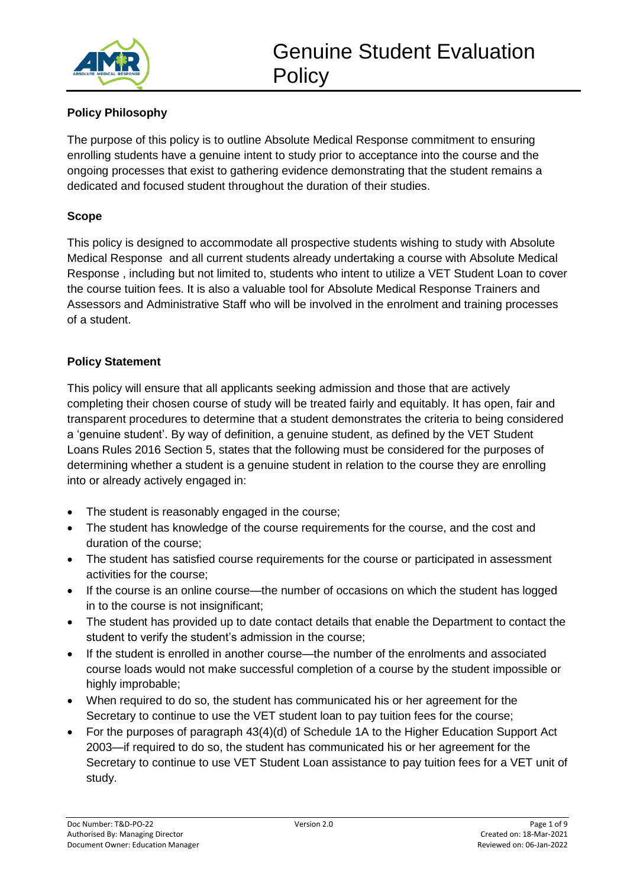

# **Policy Philosophy**

The purpose of this policy is to outline Absolute Medical Response commitment to ensuring enrolling students have a genuine intent to study prior to acceptance into the course and the ongoing processes that exist to gathering evidence demonstrating that the student remains a dedicated and focused student throughout the duration of their studies.

#### **Scope**

This policy is designed to accommodate all prospective students wishing to study with Absolute Medical Response and all current students already undertaking a course with Absolute Medical Response , including but not limited to, students who intent to utilize a VET Student Loan to cover the course tuition fees. It is also a valuable tool for Absolute Medical Response Trainers and Assessors and Administrative Staff who will be involved in the enrolment and training processes of a student.

## **Policy Statement**

This policy will ensure that all applicants seeking admission and those that are actively completing their chosen course of study will be treated fairly and equitably. It has open, fair and transparent procedures to determine that a student demonstrates the criteria to being considered a 'genuine student'. By way of definition, a genuine student, as defined by the VET Student Loans Rules 2016 Section 5, states that the following must be considered for the purposes of determining whether a student is a genuine student in relation to the course they are enrolling into or already actively engaged in:

- The student is reasonably engaged in the course;
- The student has knowledge of the course requirements for the course, and the cost and duration of the course;
- The student has satisfied course requirements for the course or participated in assessment activities for the course;
- If the course is an online course—the number of occasions on which the student has logged in to the course is not insignificant;
- The student has provided up to date contact details that enable the Department to contact the student to verify the student's admission in the course;
- If the student is enrolled in another course—the number of the enrolments and associated course loads would not make successful completion of a course by the student impossible or highly improbable;
- When required to do so, the student has communicated his or her agreement for the Secretary to continue to use the VET student loan to pay tuition fees for the course;
- For the purposes of paragraph 43(4)(d) of Schedule 1A to the Higher Education Support Act 2003—if required to do so, the student has communicated his or her agreement for the Secretary to continue to use VET Student Loan assistance to pay tuition fees for a VET unit of study.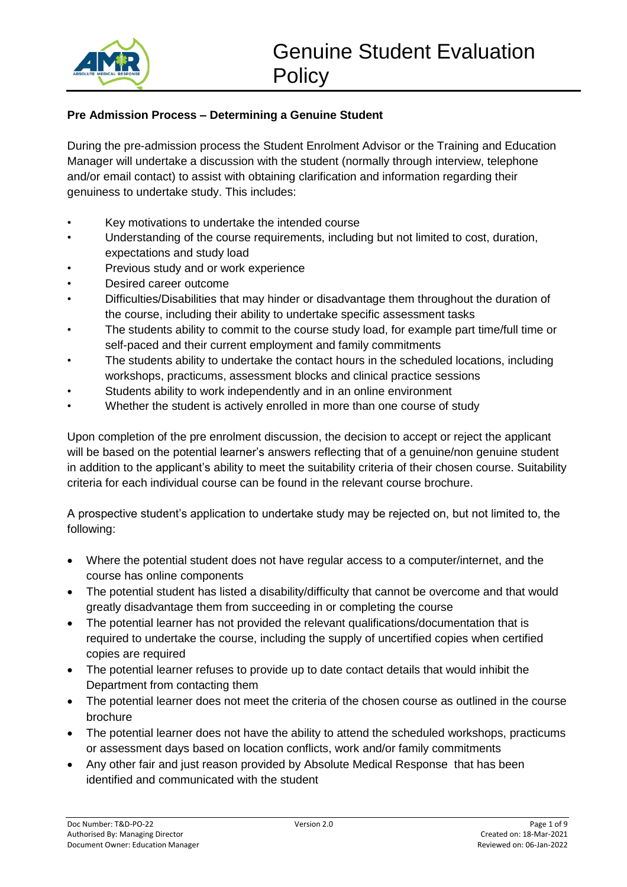

#### **Pre Admission Process – Determining a Genuine Student**

During the pre-admission process the Student Enrolment Advisor or the Training and Education Manager will undertake a discussion with the student (normally through interview, telephone and/or email contact) to assist with obtaining clarification and information regarding their genuiness to undertake study. This includes:

- Key motivations to undertake the intended course
- Understanding of the course requirements, including but not limited to cost, duration, expectations and study load
- Previous study and or work experience
- Desired career outcome
- Difficulties/Disabilities that may hinder or disadvantage them throughout the duration of the course, including their ability to undertake specific assessment tasks
- The students ability to commit to the course study load, for example part time/full time or self-paced and their current employment and family commitments
- The students ability to undertake the contact hours in the scheduled locations, including workshops, practicums, assessment blocks and clinical practice sessions
- Students ability to work independently and in an online environment
- Whether the student is actively enrolled in more than one course of study

Upon completion of the pre enrolment discussion, the decision to accept or reject the applicant will be based on the potential learner's answers reflecting that of a genuine/non genuine student in addition to the applicant's ability to meet the suitability criteria of their chosen course. Suitability criteria for each individual course can be found in the relevant course brochure.

A prospective student's application to undertake study may be rejected on, but not limited to, the following:

- Where the potential student does not have regular access to a computer/internet, and the course has online components
- The potential student has listed a disability/difficulty that cannot be overcome and that would greatly disadvantage them from succeeding in or completing the course
- The potential learner has not provided the relevant qualifications/documentation that is required to undertake the course, including the supply of uncertified copies when certified copies are required
- The potential learner refuses to provide up to date contact details that would inhibit the Department from contacting them
- The potential learner does not meet the criteria of the chosen course as outlined in the course brochure
- The potential learner does not have the ability to attend the scheduled workshops, practicums or assessment days based on location conflicts, work and/or family commitments
- Any other fair and just reason provided by Absolute Medical Response that has been identified and communicated with the student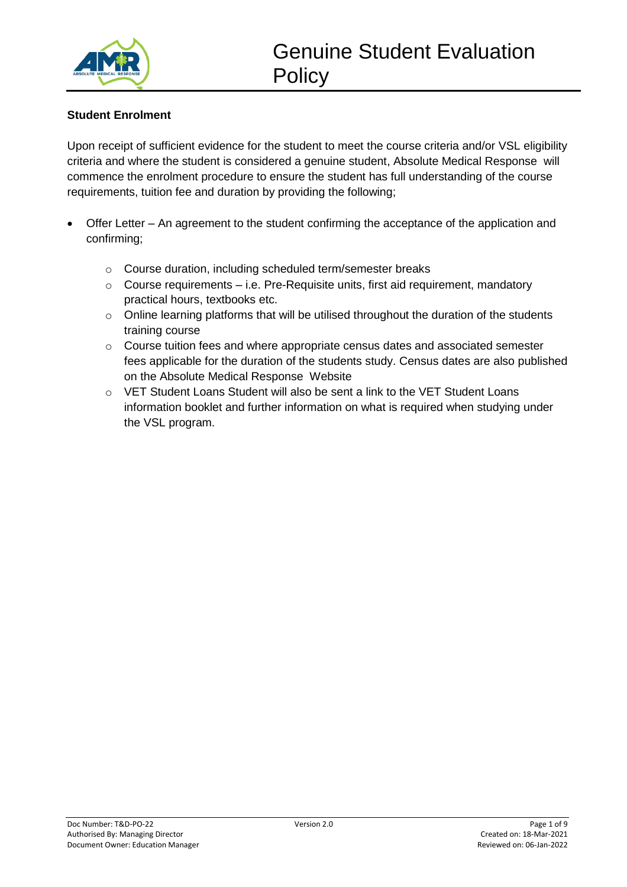

# **Student Enrolment**

Upon receipt of sufficient evidence for the student to meet the course criteria and/or VSL eligibility criteria and where the student is considered a genuine student, Absolute Medical Response will commence the enrolment procedure to ensure the student has full understanding of the course requirements, tuition fee and duration by providing the following;

- Offer Letter An agreement to the student confirming the acceptance of the application and confirming;
	- o Course duration, including scheduled term/semester breaks
	- $\circ$  Course requirements i.e. Pre-Requisite units, first aid requirement, mandatory practical hours, textbooks etc.
	- o Online learning platforms that will be utilised throughout the duration of the students training course
	- $\circ$  Course tuition fees and where appropriate census dates and associated semester fees applicable for the duration of the students study. Census dates are also published on the Absolute Medical Response Website
	- o VET Student Loans Student will also be sent a link to the VET Student Loans information booklet and further information on what is required when studying under the VSL program.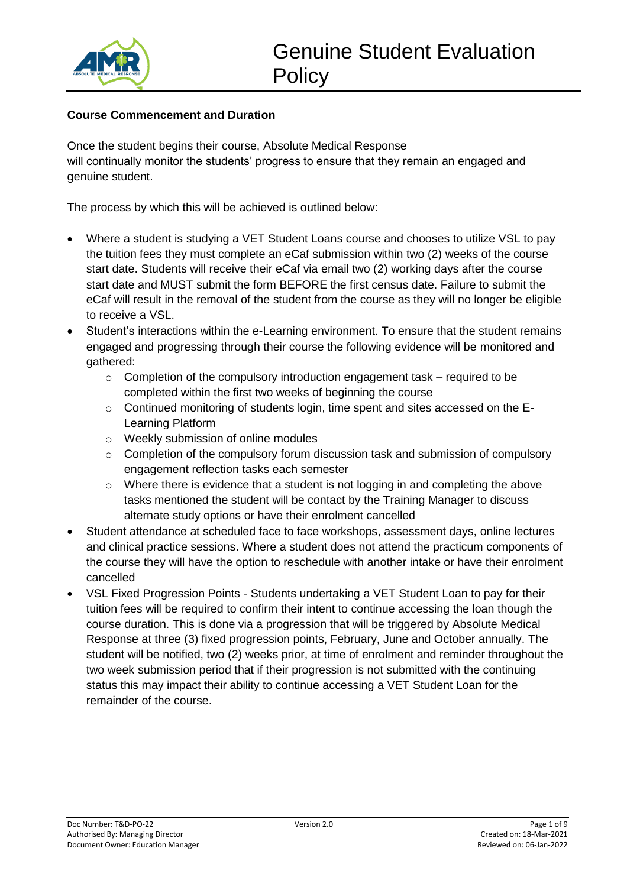

#### **Course Commencement and Duration**

Once the student begins their course, Absolute Medical Response will continually monitor the students' progress to ensure that they remain an engaged and genuine student.

The process by which this will be achieved is outlined below:

- Where a student is studying a VET Student Loans course and chooses to utilize VSL to pay the tuition fees they must complete an eCaf submission within two (2) weeks of the course start date. Students will receive their eCaf via email two (2) working days after the course start date and MUST submit the form BEFORE the first census date. Failure to submit the eCaf will result in the removal of the student from the course as they will no longer be eligible to receive a VSL.
- Student's interactions within the e-Learning environment. To ensure that the student remains engaged and progressing through their course the following evidence will be monitored and gathered:
	- $\circ$  Completion of the compulsory introduction engagement task required to be completed within the first two weeks of beginning the course
	- o Continued monitoring of students login, time spent and sites accessed on the E-Learning Platform
	- o Weekly submission of online modules
	- o Completion of the compulsory forum discussion task and submission of compulsory engagement reflection tasks each semester
	- o Where there is evidence that a student is not logging in and completing the above tasks mentioned the student will be contact by the Training Manager to discuss alternate study options or have their enrolment cancelled
- Student attendance at scheduled face to face workshops, assessment days, online lectures and clinical practice sessions. Where a student does not attend the practicum components of the course they will have the option to reschedule with another intake or have their enrolment cancelled
- VSL Fixed Progression Points Students undertaking a VET Student Loan to pay for their tuition fees will be required to confirm their intent to continue accessing the loan though the course duration. This is done via a progression that will be triggered by Absolute Medical Response at three (3) fixed progression points, February, June and October annually. The student will be notified, two (2) weeks prior, at time of enrolment and reminder throughout the two week submission period that if their progression is not submitted with the continuing status this may impact their ability to continue accessing a VET Student Loan for the remainder of the course.